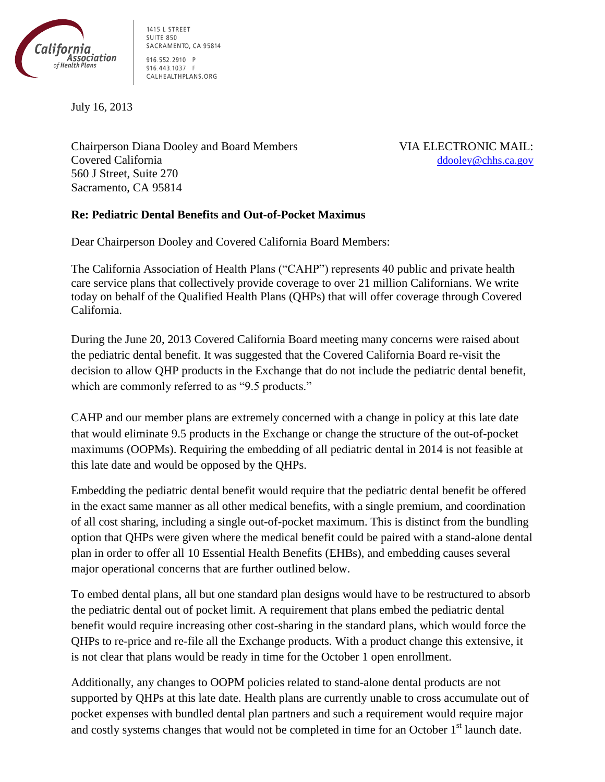

1415 L STREET **SUITE 850** SACRAMENTO, CA 95814 916.552.2910 P 916.443.1037 F CALHEALTHPLANS.ORG

July 16, 2013

Chairperson Diana Dooley and Board Members VIA ELECTRONIC MAIL: Covered California [ddooley@chhs.ca.gov](mailto:ddooley@chhs.ca.gov) 560 J Street, Suite 270 Sacramento, CA 95814

## **Re: Pediatric Dental Benefits and Out-of-Pocket Maximus**

Dear Chairperson Dooley and Covered California Board Members:

The California Association of Health Plans ("CAHP") represents 40 public and private health care service plans that collectively provide coverage to over 21 million Californians. We write today on behalf of the Qualified Health Plans (QHPs) that will offer coverage through Covered California.

During the June 20, 2013 Covered California Board meeting many concerns were raised about the pediatric dental benefit. It was suggested that the Covered California Board re-visit the decision to allow QHP products in the Exchange that do not include the pediatric dental benefit, which are commonly referred to as "9.5 products."

CAHP and our member plans are extremely concerned with a change in policy at this late date that would eliminate 9.5 products in the Exchange or change the structure of the out-of-pocket maximums (OOPMs). Requiring the embedding of all pediatric dental in 2014 is not feasible at this late date and would be opposed by the QHPs.

Embedding the pediatric dental benefit would require that the pediatric dental benefit be offered in the exact same manner as all other medical benefits, with a single premium, and coordination of all cost sharing, including a single out-of-pocket maximum. This is distinct from the bundling option that QHPs were given where the medical benefit could be paired with a stand-alone dental plan in order to offer all 10 Essential Health Benefits (EHBs), and embedding causes several major operational concerns that are further outlined below.

To embed dental plans, all but one standard plan designs would have to be restructured to absorb the pediatric dental out of pocket limit. A requirement that plans embed the pediatric dental benefit would require increasing other cost-sharing in the standard plans, which would force the QHPs to re-price and re-file all the Exchange products. With a product change this extensive, it is not clear that plans would be ready in time for the October 1 open enrollment.

Additionally, any changes to OOPM policies related to stand-alone dental products are not supported by QHPs at this late date. Health plans are currently unable to cross accumulate out of pocket expenses with bundled dental plan partners and such a requirement would require major and costly systems changes that would not be completed in time for an October 1<sup>st</sup> launch date.